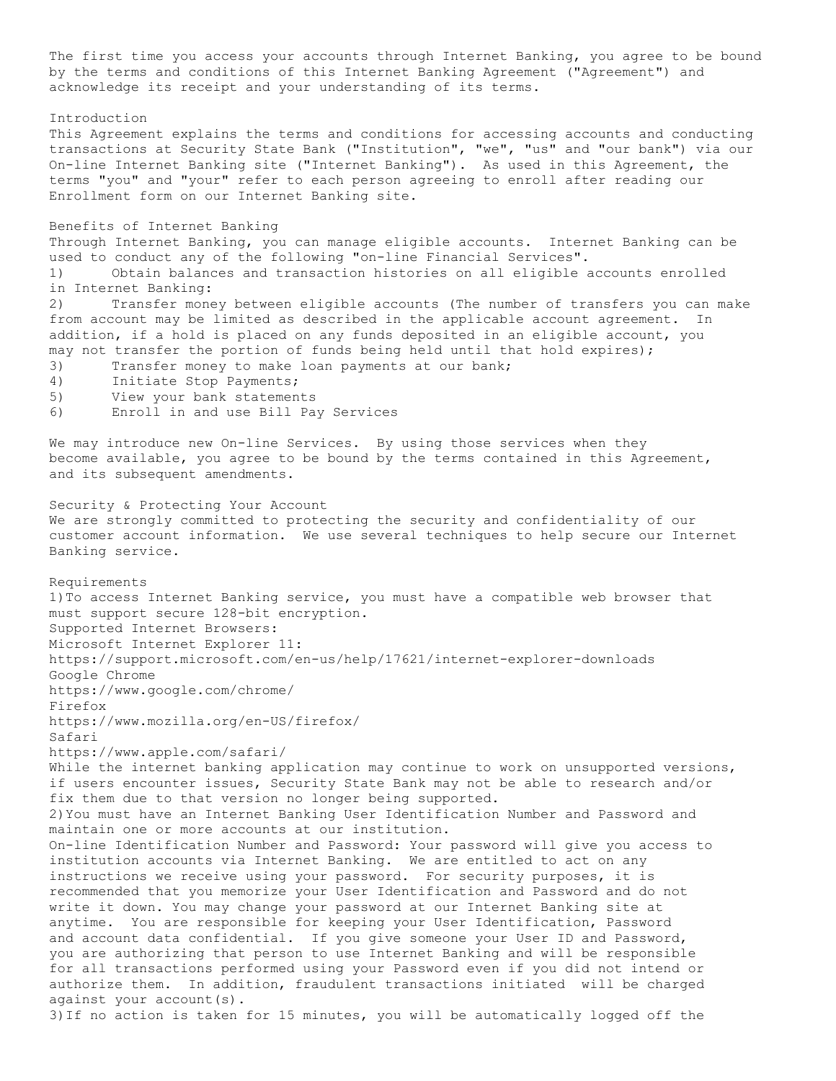The first time you access your accounts through Internet Banking, you agree to be bound by the terms and conditions of this Internet Banking Agreement ("Agreement") and acknowledge its receipt and your understanding of its terms.

Introduction

This Agreement explains the terms and conditions for accessing accounts and conducting transactions at Security State Bank ("Institution", "we", "us" and "our bank") via our On-line Internet Banking site ("Internet Banking"). As used in this Agreement, the terms "you" and "your" refer to each person agreeing to enroll after reading our Enrollment form on our Internet Banking site.

## Benefits of Internet Banking

Through Internet Banking, you can manage eligible accounts. Internet Banking can be used to conduct any of the following "on-line Financial Services".

1) Obtain balances and transaction histories on all eligible accounts enrolled in Internet Banking:

2) Transfer money between eligible accounts (The number of transfers you can make from account may be limited as described in the applicable account agreement. In addition, if a hold is placed on any funds deposited in an eligible account, you may not transfer the portion of funds being held until that hold expires);

3) Transfer money to make loan payments at our bank;

- 4) Initiate Stop Payments;
- 5) View your bank statements
- 6) Enroll in and use Bill Pay Services

We may introduce new On-line Services. By using those services when they become available, you agree to be bound by the terms contained in this Agreement, and its subsequent amendments.

Security & Protecting Your Account We are strongly committed to protecting the security and confidentiality of our customer account information. We use several techniques to help secure our Internet Banking service.

Requirements 1)To access Internet Banking service, you must have a compatible web browser that must support secure 128-bit encryption. Supported Internet Browsers: Microsoft Internet Explorer 11: https://support.microsoft.com/en-us/help/17621/internet-explorer-downloads Google Chrome https://www.google.com/chrome/ Firefox https://www.mozilla.org/en-US/firefox/ Safari https://www.apple.com/safari/ While the internet banking application may continue to work on unsupported versions, if users encounter issues, Security State Bank may not be able to research and/or fix them due to that version no longer being supported. 2)You must have an Internet Banking User Identification Number and Password and maintain one or more accounts at our institution. On-line Identification Number and Password: Your password will give you access to institution accounts via Internet Banking. We are entitled to act on any instructions we receive using your password. For security purposes, it is recommended that you memorize your User Identification and Password and do not write it down. You may change your password at our Internet Banking site at anytime. You are responsible for keeping your User Identification, Password and account data confidential. If you give someone your User ID and Password, you are authorizing that person to use Internet Banking and will be responsible for all transactions performed using your Password even if you did not intend or authorize them. In addition, fraudulent transactions initiated will be charged against your account(s). 3)If no action is taken for 15 minutes, you will be automatically logged off the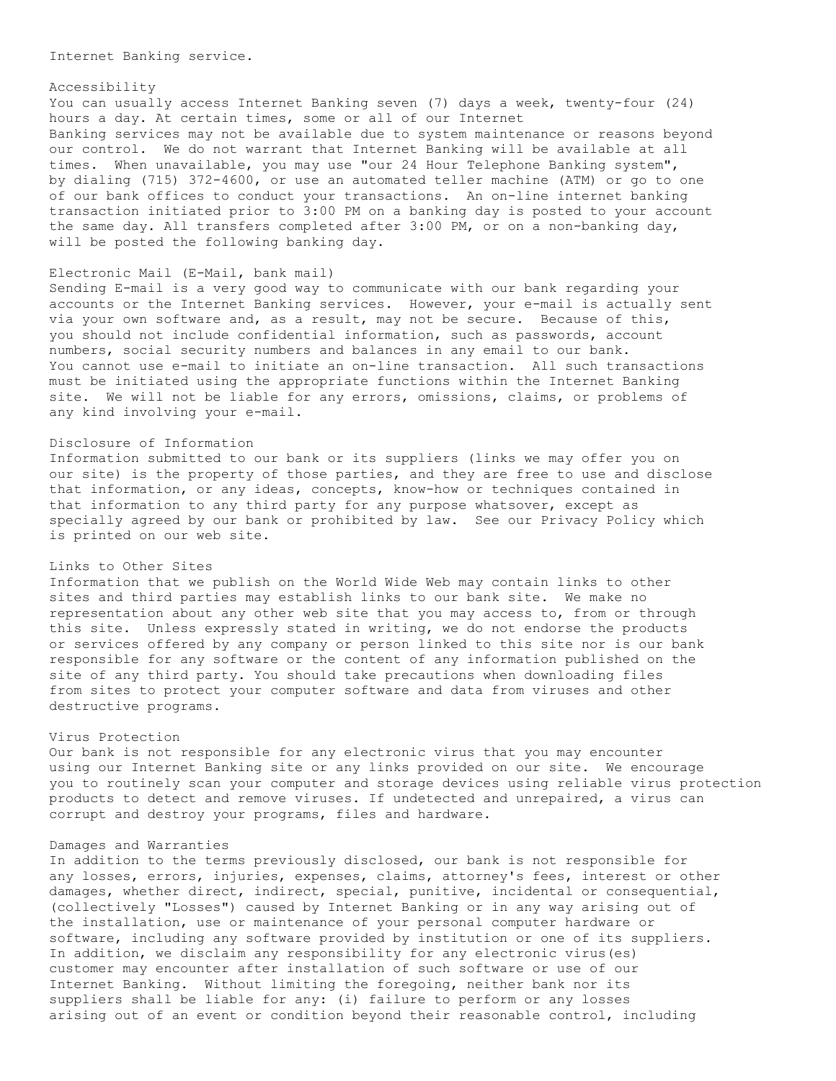Internet Banking service.

#### Accessibility

You can usually access Internet Banking seven (7) days a week, twenty-four (24) hours a day. At certain times, some or all of our Internet Banking services may not be available due to system maintenance or reasons beyond our control. We do not warrant that Internet Banking will be available at all times. When unavailable, you may use "our 24 Hour Telephone Banking system", by dialing (715) 372-4600, or use an automated teller machine (ATM) or go to one of our bank offices to conduct your transactions. An on-line internet banking transaction initiated prior to 3:00 PM on a banking day is posted to your account the same day. All transfers completed after 3:00 PM, or on a non-banking day, will be posted the following banking day.

# Electronic Mail (E-Mail, bank mail)

Sending E-mail is a very good way to communicate with our bank regarding your accounts or the Internet Banking services. However, your e-mail is actually sent via your own software and, as a result, may not be secure. Because of this, you should not include confidential information, such as passwords, account numbers, social security numbers and balances in any email to our bank. You cannot use e-mail to initiate an on-line transaction. All such transactions must be initiated using the appropriate functions within the Internet Banking site. We will not be liable for any errors, omissions, claims, or problems of any kind involving your e-mail.

## Disclosure of Information

Information submitted to our bank or its suppliers (links we may offer you on our site) is the property of those parties, and they are free to use and disclose that information, or any ideas, concepts, know-how or techniques contained in that information to any third party for any purpose whatsover, except as specially agreed by our bank or prohibited by law. See our Privacy Policy which is printed on our web site.

## Links to Other Sites

Information that we publish on the World Wide Web may contain links to other sites and third parties may establish links to our bank site. We make no representation about any other web site that you may access to, from or through this site. Unless expressly stated in writing, we do not endorse the products or services offered by any company or person linked to this site nor is our bank responsible for any software or the content of any information published on the site of any third party. You should take precautions when downloading files from sites to protect your computer software and data from viruses and other destructive programs.

### Virus Protection

Our bank is not responsible for any electronic virus that you may encounter using our Internet Banking site or any links provided on our site. We encourage you to routinely scan your computer and storage devices using reliable virus protection products to detect and remove viruses. If undetected and unrepaired, a virus can corrupt and destroy your programs, files and hardware.

### Damages and Warranties

In addition to the terms previously disclosed, our bank is not responsible for any losses, errors, injuries, expenses, claims, attorney's fees, interest or other damages, whether direct, indirect, special, punitive, incidental or consequential, (collectively "Losses") caused by Internet Banking or in any way arising out of the installation, use or maintenance of your personal computer hardware or software, including any software provided by institution or one of its suppliers. In addition, we disclaim any responsibility for any electronic virus(es) customer may encounter after installation of such software or use of our Internet Banking. Without limiting the foregoing, neither bank nor its suppliers shall be liable for any: (i) failure to perform or any losses arising out of an event or condition beyond their reasonable control, including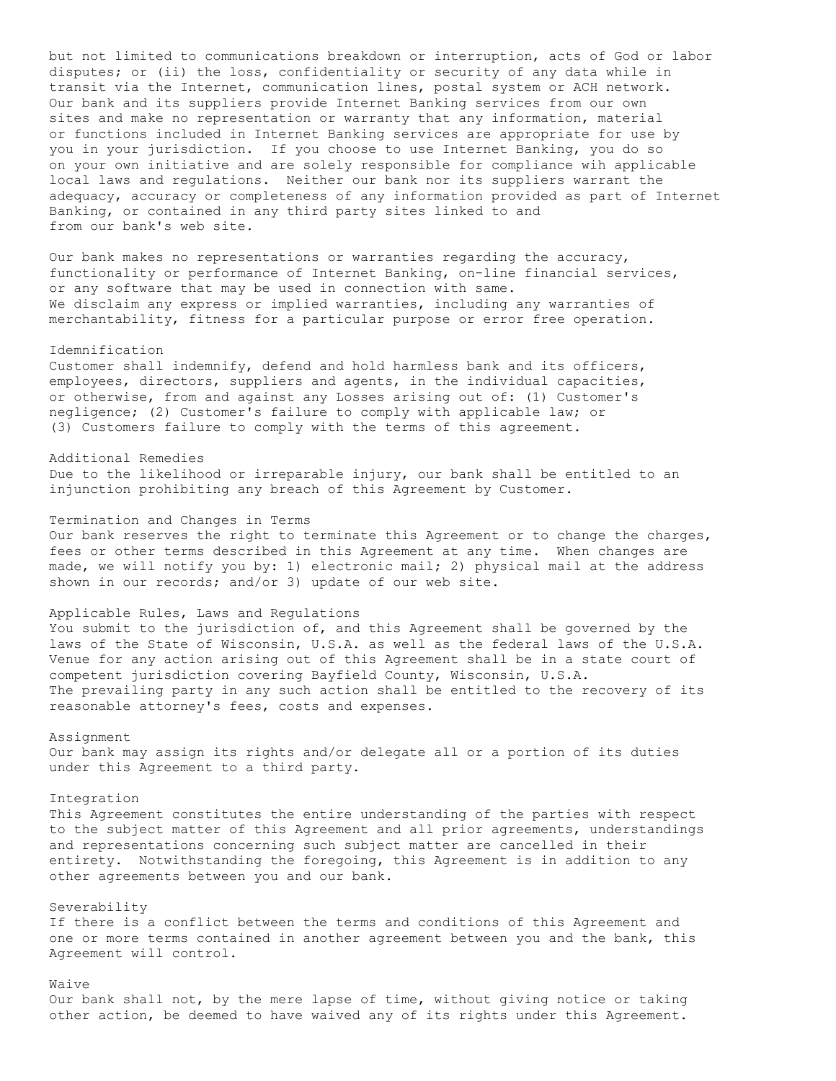but not limited to communications breakdown or interruption, acts of God or labor disputes; or (ii) the loss, confidentiality or security of any data while in transit via the Internet, communication lines, postal system or ACH network. Our bank and its suppliers provide Internet Banking services from our own sites and make no representation or warranty that any information, material or functions included in Internet Banking services are appropriate for use by you in your jurisdiction. If you choose to use Internet Banking, you do so on your own initiative and are solely responsible for compliance wih applicable local laws and regulations. Neither our bank nor its suppliers warrant the adequacy, accuracy or completeness of any information provided as part of Internet Banking, or contained in any third party sites linked to and from our bank's web site.

Our bank makes no representations or warranties regarding the accuracy, functionality or performance of Internet Banking, on-line financial services, or any software that may be used in connection with same. We disclaim any express or implied warranties, including any warranties of merchantability, fitness for a particular purpose or error free operation.

#### Idemnification

Customer shall indemnify, defend and hold harmless bank and its officers, employees, directors, suppliers and agents, in the individual capacities, or otherwise, from and against any Losses arising out of: (1) Customer's negligence; (2) Customer's failure to comply with applicable law; or (3) Customers failure to comply with the terms of this agreement.

Additional Remedies Due to the likelihood or irreparable injury, our bank shall be entitled to an injunction prohibiting any breach of this Agreement by Customer.

Termination and Changes in Terms

Our bank reserves the right to terminate this Agreement or to change the charges, fees or other terms described in this Agreement at any time. When changes are made, we will notify you by: 1) electronic mail; 2) physical mail at the address shown in our records; and/or 3) update of our web site.

Applicable Rules, Laws and Regulations

You submit to the jurisdiction of, and this Agreement shall be governed by the laws of the State of Wisconsin, U.S.A. as well as the federal laws of the U.S.A. Venue for any action arising out of this Agreement shall be in a state court of competent jurisdiction covering Bayfield County, Wisconsin, U.S.A. The prevailing party in any such action shall be entitled to the recovery of its reasonable attorney's fees, costs and expenses.

## Assignment

Our bank may assign its rights and/or delegate all or a portion of its duties under this Agreement to a third party.

#### Integration

This Agreement constitutes the entire understanding of the parties with respect to the subject matter of this Agreement and all prior agreements, understandings and representations concerning such subject matter are cancelled in their entirety. Notwithstanding the foregoing, this Agreement is in addition to any other agreements between you and our bank.

## Severability

If there is a conflict between the terms and conditions of this Agreement and one or more terms contained in another agreement between you and the bank, this Agreement will control.

# Waive

Our bank shall not, by the mere lapse of time, without giving notice or taking other action, be deemed to have waived any of its rights under this Agreement.